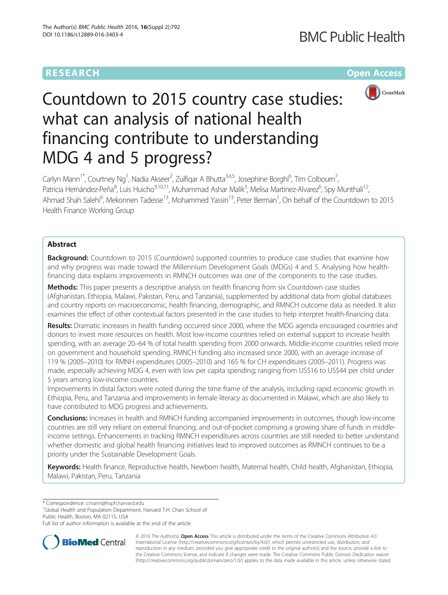## **RESEARCH CHEAR CHEAR CHEAR CHEAR CHEAR CHEAR CHEAR CHEAR CHEAR CHEAR CHEAR CHEAR CHEAR CHEAR CHEAR CHEAR CHEAR**



# Countdown to 2015 country case studies: what can analysis of national health financing contribute to understanding MDG 4 and 5 progress?

Carlyn Mann<sup>1\*</sup>, Courtney Ng<sup>1</sup>, Nadia Akseer<sup>2</sup>, Zulfiqar A Bhutta<sup>3,4,5</sup>, Josephine Borghi<sup>6</sup>, Tim Colbourn<sup>7</sup> , Patricia Hernández-Peña<sup>8</sup>, Luis Huicho<sup>9,10,11</sup>, Muhammad Ashar Malik<sup>3</sup>, Melisa Martinez-Alvarez<sup>6</sup>, Spy Munthali<sup>12</sup>, Ahmad Shah Salehi<sup>6</sup>, Mekonnen Tadesse<sup>13</sup>, Mohammed Yassin<sup>13</sup>, Peter Berman<sup>1</sup>, On behalf of the Countdown to 2015 Health Finance Working Group

## Abstract

Background: Countdown to 2015 (Countdown) supported countries to produce case studies that examine how and why progress was made toward the Millennium Development Goals (MDGs) 4 and 5. Analysing how healthfinancing data explains improvements in RMNCH outcomes was one of the components to the case studies.

Methods: This paper presents a descriptive analysis on health financing from six Countdown case studies (Afghanistan, Ethiopia, Malawi, Pakistan, Peru, and Tanzania), supplemented by additional data from global databases and country reports on macroeconomic, health financing, demographic, and RMNCH outcome data as needed. It also examines the effect of other contextual factors presented in the case studies to help interpret health-financing data.

Results: Dramatic increases in health funding occurred since 2000, where the MDG agenda encouraged countries and donors to invest more resources on health. Most low-income countries relied on external support to increase health spending, with an average 20–64 % of total health spending from 2000 onwards. Middle-income countries relied more on government and household spending. RMNCH funding also increased since 2000, with an average increase of 119 % (2005–2010) for RMNH expenditures (2005–2010) and 165 % for CH expenditures (2005–2011). Progress was made, especially achieving MDG 4, even with low per capita spending; ranging from US\$16 to US\$44 per child under 5 years among low-income countries.

Improvements in distal factors were noted during the time frame of the analysis, including rapid economic growth in Ethiopia, Peru, and Tanzania and improvements in female literacy as documented in Malawi, which are also likely to have contributed to MDG progress and achievements.

**Conclusions:** Increases in health and RMNCH funding accompanied improvements in outcomes, though low-income countries are still very reliant on external financing, and out-of-pocket comprising a growing share of funds in middleincome settings. Enhancements in tracking RMNCH expenditures across countries are still needed to better understand whether domestic and global health financing initiatives lead to improved outcomes as RMNCH continues to be a priority under the Sustainable Development Goals.

Keywords: Health finance, Reproductive health, Newborn health, Maternal health, Child health, Afghanistan, Ethiopia, Malawi, Pakistan, Peru, Tanzania

\* Correspondence: [cmann@hsph.harvard.edu](mailto:cmann@hsph.harvard.edu) <sup>1</sup>

<sup>1</sup>Global Health and Population Department, Harvard T.H. Chan School of Public Health, Boston, MA 02115, USA

Full list of author information is available at the end of the article



© 2016 The Author(s). Open Access This article is distributed under the terms of the Creative Commons Attribution 4.0 International License [\(http://creativecommons.org/licenses/by/4.0/](http://creativecommons.org/licenses/by/4.0/)), which permits unrestricted use, distribution, and reproduction in any medium, provided you give appropriate credit to the original author(s) and the source, provide a link to the Creative Commons license, and indicate if changes were made. The Creative Commons Public Domain Dedication waiver [\(http://creativecommons.org/publicdomain/zero/1.0/](http://creativecommons.org/publicdomain/zero/1.0/)) applies to the data made available in this article, unless otherwise stated.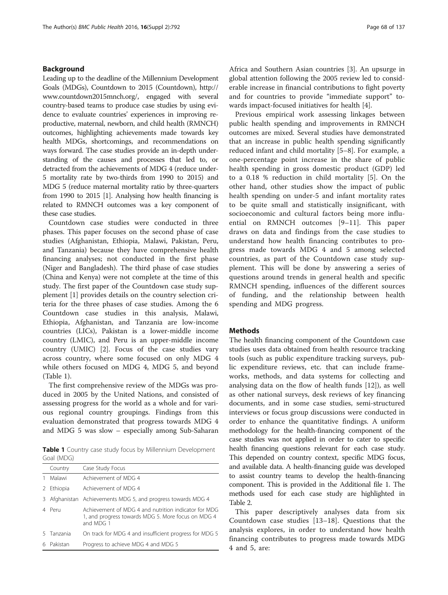## Background

Leading up to the deadline of the Millennium Development Goals (MDGs), Countdown to 2015 (Countdown), [http://](http://www.countdown2015mnch.org/) [www.countdown2015mnch.org/,](http://www.countdown2015mnch.org/) engaged with several country-based teams to produce case studies by using evidence to evaluate countries' experiences in improving reproductive, maternal, newborn, and child health (RMNCH) outcomes, highlighting achievements made towards key health MDGs, shortcomings, and recommendations on ways forward. The case studies provide an in-depth understanding of the causes and processes that led to, or detracted from the achievements of MDG 4 (reduce under-5 mortality rate by two-thirds from 1990 to 2015) and MDG 5 (reduce maternal mortality ratio by three-quarters from 1990 to 2015 [\[1\]](#page-12-0). Analysing how health financing is related to RMNCH outcomes was a key component of these case studies.

Countdown case studies were conducted in three phases. This paper focuses on the second phase of case studies (Afghanistan, Ethiopia, Malawi, Pakistan, Peru, and Tanzania) because they have comprehensive health financing analyses; not conducted in the first phase (Niger and Bangladesh). The third phase of case studies (China and Kenya) were not complete at the time of this study. The first paper of the Countdown case study supplement [\[1](#page-12-0)] provides details on the country selection criteria for the three phases of case studies. Among the 6 Countdown case studies in this analysis, Malawi, Ethiopia, Afghanistan, and Tanzania are low-income countries (LICs), Pakistan is a lower-middle income country (LMIC), and Peru is an upper-middle income country (UMIC) [\[2](#page-12-0)]. Focus of the case studies vary across country, where some focused on only MDG 4 while others focused on MDG 4, MDG 5, and beyond (Table 1).

The first comprehensive review of the MDGs was produced in 2005 by the United Nations, and consisted of assessing progress for the world as a whole and for various regional country groupings. Findings from this evaluation demonstrated that progress towards MDG 4 and MDG 5 was slow – especially among Sub-Saharan

Table 1 Country case study focus by Millennium Development Goal (MDG)

|   | Country    | Case Study Focus                                                                                                        |  |
|---|------------|-------------------------------------------------------------------------------------------------------------------------|--|
|   | Malawi     | Achievement of MDG 4                                                                                                    |  |
| 2 | Ethiopia   | Achievement of MDG 4                                                                                                    |  |
| 3 |            | Afghanistan Achievements MDG 5, and progress towards MDG 4                                                              |  |
|   | 4 Peru     | Achievement of MDG 4 and nutrition indicator for MDG<br>1, and progress towards MDG 5. More focus on MDG 4<br>and MDG 1 |  |
|   | 5 Tanzania | On track for MDG 4 and insufficient progress for MDG 5                                                                  |  |
| 6 | Pakistan   | Progress to achieve MDG 4 and MDG 5                                                                                     |  |

Africa and Southern Asian countries [[3](#page-12-0)]. An upsurge in global attention following the 2005 review led to considerable increase in financial contributions to fight poverty and for countries to provide "immediate support" towards impact-focused initiatives for health [[4\]](#page-12-0).

Previous empirical work assessing linkages between public health spending and improvements in RMNCH outcomes are mixed. Several studies have demonstrated that an increase in public health spending significantly reduced infant and child mortality [\[5](#page-13-0)–[8](#page-13-0)]. For example, a one-percentage point increase in the share of public health spending in gross domestic product (GDP) led to a 0.18 % reduction in child mortality [[5\]](#page-13-0). On the other hand, other studies show the impact of public health spending on under-5 and infant mortality rates to be quite small and statistically insignificant, with socioeconomic and cultural factors being more influential on RMNCH outcomes [\[9](#page-13-0)–[11](#page-13-0)]. This paper draws on data and findings from the case studies to understand how health financing contributes to progress made towards MDG 4 and 5 among selected countries, as part of the Countdown case study supplement. This will be done by answering a series of questions around trends in general health and specific RMNCH spending, influences of the different sources of funding, and the relationship between health spending and MDG progress.

#### Methods

The health financing component of the Countdown case studies uses data obtained from health resource tracking tools (such as public expenditure tracking surveys, public expenditure reviews, etc. that can include frameworks, methods, and data systems for collecting and analysing data on the flow of health funds [\[12](#page-13-0)]), as well as other national surveys, desk reviews of key financing documents, and in some case studies, semi-structured interviews or focus group discussions were conducted in order to enhance the quantitative findings. A uniform methodology for the health-financing component of the case studies was not applied in order to cater to specific health financing questions relevant for each case study. This depended on country context, specific MDG focus, and available data. A health-financing guide was developed to assist country teams to develop the health-financing component. This is provided in the Additional file [1](#page-12-0). The methods used for each case study are highlighted in Table [2](#page-2-0).

This paper descriptively analyses data from six Countdown case studies [\[13](#page-13-0)–[18](#page-13-0)]. Questions that the analysis explores, in order to understand how health financing contributes to progress made towards MDG 4 and 5, are: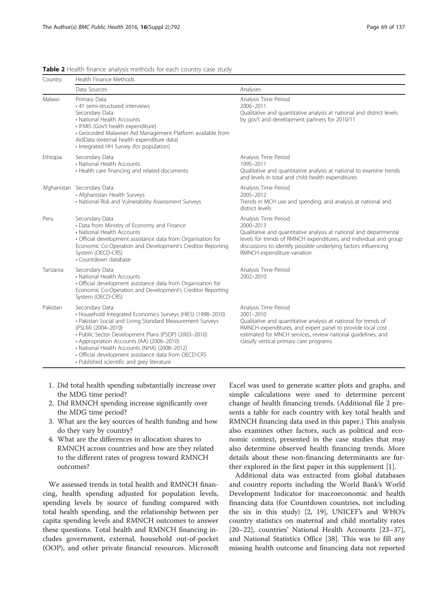| Country  | Health Finance Methods                                                                                                                                                                                                                                                                                                                                                                                                      |                                                                                                                                                                                                                                                                                    |  |  |
|----------|-----------------------------------------------------------------------------------------------------------------------------------------------------------------------------------------------------------------------------------------------------------------------------------------------------------------------------------------------------------------------------------------------------------------------------|------------------------------------------------------------------------------------------------------------------------------------------------------------------------------------------------------------------------------------------------------------------------------------|--|--|
|          | Data Sources                                                                                                                                                                                                                                                                                                                                                                                                                | Analyses                                                                                                                                                                                                                                                                           |  |  |
| Malawi   | Primary Data<br>• 41 semi-structured interviews<br>Secondary Data<br>• National Health Accounts<br>· IFMIS (Gov't health expenditure)<br>• Geocoded Malawian Aid Management Platform available from<br>AidData (external health expenditure data)<br>• Integrated HH Survey (for population)                                                                                                                                | Analysis Time Period<br>2006-2011<br>Qualitative and quantitative analysis at national and district levels<br>by gov't and development partners for 2010/11                                                                                                                        |  |  |
| Ethiopia | Secondary Data<br>• National Health Accounts<br>• Health care financing and related documents                                                                                                                                                                                                                                                                                                                               | Analysis Time Period<br>1995-2011<br>Qualitative and quantitative analysis at national to examine trends<br>and levels in total and child health expenditures                                                                                                                      |  |  |
|          | Afghanistan Secondary Data<br>• Afghanistan Health Surveys<br>• National Risk and Vulnerability Assessment Surveys                                                                                                                                                                                                                                                                                                          | Analysis Time Period<br>2005-2012<br>Trends in MCH use and spending, and analysis at national and<br>district levels                                                                                                                                                               |  |  |
| Peru     | Secondary Data<br>• Data from Ministry of Economy and Finance<br>• National Health Accounts<br>· Official development assistance data from Organisation for<br>Economic Co-Operation and Development's Creditor Reporting<br>System (OECD-CRS)<br>• Countdown database                                                                                                                                                      | Analysis Time Period<br>$2000 - 2013$<br>Qualitative and quantitative analysis at national and departmental<br>levels for trends of RMNCH expenditures, and individual and group<br>discussions to identify possible underlying factors influencing<br>RMNCH expenditure variation |  |  |
| Tanzania | Secondary Data<br>• National Health Accounts<br>• Official development assistance data from Organisation for<br>Economic Co-Operation and Development's Creditor Reporting<br>System (OECD-CRS)                                                                                                                                                                                                                             | Analysis Time Period<br>2002-2010                                                                                                                                                                                                                                                  |  |  |
| Pakistan | Secondary Data<br>• Household Integrated Economics Surveys (HIES) (1998-2010)<br>• Pakistan Social and Living Standard Measurement Surveys<br>(PSLM) (2004-2010)<br>· Public Sector Development Plans (PSDP) (2003-2010)<br>• Appropriation Accounts (AA) (2006-2010)<br>• National Health Accounts (NHA) (2008-2012)<br>• Official development assistance data from OECD-CRS<br>• Published scientific and grey literature | Analysis Time Period<br>2001-2010<br>Qualitative and quantitative analysis at national for trends of<br>RMNCH expenditures, and expert panel to provide local cost<br>estimated for MNCH services, review national quidelines, and<br>classify vertical primary care programs      |  |  |

<span id="page-2-0"></span>Table 2 Health finance analysis methods for each country case study

- 1. Did total health spending substantially increase over the MDG time period?
- 2. Did RMNCH spending increase significantly over the MDG time period?
- 3. What are the key sources of health funding and how do they vary by country?
- 4. What are the differences in allocation shares to RMNCH across countries and how are they related to the different rates of progress toward RMNCH outcomes?

We assessed trends in total health and RMNCH financing, health spending adjusted for population levels, spending levels by source of funding compared with total health spending, and the relationship between per capita spending levels and RMNCH outcomes to answer these questions. Total health and RMNCH financing includes government, external, household out-of-pocket (OOP), and other private financial resources. Microsoft Excel was used to generate scatter plots and graphs, and simple calculations were used to determine percent change of health financing trends. (Additional file [2](#page-12-0) presents a table for each country with key total health and RMNCH financing data used in this paper.) This analysis also examines other factors, such as political and economic context, presented in the case studies that may also determine observed health financing trends. More details about these non-financing determinants are further explored in the first paper in this supplement [[1](#page-12-0)].

Additional data was extracted from global databases and country reports including the World Bank's World Development Indicator for macroeconomic and health financing data (for Countdown countries, not including the six in this study) [\[2](#page-12-0), [19\]](#page-13-0), UNICEF's and WHO's country statistics on maternal and child mortality rates [[20](#page-13-0)–[22](#page-13-0)], countries' National Health Accounts [[23](#page-13-0)–[37](#page-13-0)], and National Statistics Office [[38\]](#page-13-0). This was to fill any missing health outcome and financing data not reported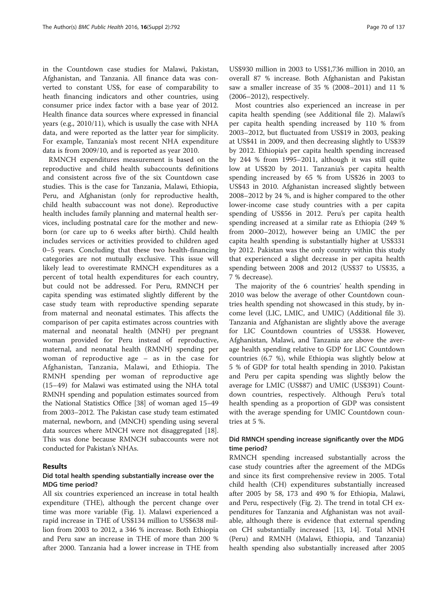in the Countdown case studies for Malawi, Pakistan, Afghanistan, and Tanzania. All finance data was converted to constant US\$, for ease of comparability to heath financing indicators and other countries, using consumer price index factor with a base year of 2012. Health finance data sources where expressed in financial years (e.g., 2010/11), which is usually the case with NHA data, and were reported as the latter year for simplicity. For example, Tanzania's most recent NHA expenditure data is from 2009/10, and is reported as year 2010.

RMNCH expenditures measurement is based on the reproductive and child health subaccounts definitions and consistent across five of the six Countdown case studies. This is the case for Tanzania, Malawi, Ethiopia, Peru, and Afghanistan (only for reproductive health, child health subaccount was not done). Reproductive health includes family planning and maternal health services, including postnatal care for the mother and newborn (or care up to 6 weeks after birth). Child health includes services or activities provided to children aged 0–5 years. Concluding that these two health-financing categories are not mutually exclusive. This issue will likely lead to overestimate RMNCH expenditures as a percent of total health expenditures for each country, but could not be addressed. For Peru, RMNCH per capita spending was estimated slightly different by the case study team with reproductive spending separate from maternal and neonatal estimates. This affects the comparison of per capita estimates across countries with maternal and neonatal health (MNH) per pregnant woman provided for Peru instead of reproductive, maternal, and neonatal health (RMNH) spending per woman of reproductive age – as in the case for Afghanistan, Tanzania, Malawi, and Ethiopia. The RMNH spending per woman of reproductive age (15–49) for Malawi was estimated using the NHA total RMNH spending and population estimates sourced from the National Statistics Office [\[38](#page-13-0)] of woman aged 15–49 from 2003–2012. The Pakistan case study team estimated maternal, newborn, and (MNCH) spending using several data sources where MNCH were not disaggregated [[18](#page-13-0)]. This was done because RMNCH subaccounts were not conducted for Pakistan's NHAs.

## Results

## Did total health spending substantially increase over the MDG time period?

All six countries experienced an increase in total health expenditure (THE), although the percent change over time was more variable (Fig. [1\)](#page-4-0). Malawi experienced a rapid increase in THE of US\$134 million to US\$638 million from 2003 to 2012, a 346 % increase. Both Ethiopia and Peru saw an increase in THE of more than 200 % after 2000. Tanzania had a lower increase in THE from

US\$930 million in 2003 to US\$1,736 million in 2010, an overall 87 % increase. Both Afghanistan and Pakistan saw a smaller increase of 35 % (2008–2011) and 11 % (2006–2012), respectively.

Most countries also experienced an increase in per capita health spending (see Additional file [2\)](#page-12-0). Malawi's per capita health spending increased by 110 % from 2003–2012, but fluctuated from US\$19 in 2003, peaking at US\$41 in 2009, and then decreasing slightly to US\$39 by 2012. Ethiopia's per capita health spending increased by 244 % from 1995–2011, although it was still quite low at US\$20 by 2011. Tanzania's per capita health spending increased by 65 % from US\$26 in 2003 to US\$43 in 2010. Afghanistan increased slightly between 2008–2012 by 24 %, and is higher compared to the other lower-income case study countries with a per capita spending of US\$56 in 2012. Peru's per capita health spending increased at a similar rate as Ethiopia (249 % from 2000–2012), however being an UMIC the per capita health spending is substantially higher at US\$331 by 2012. Pakistan was the only country within this study that experienced a slight decrease in per capita health spending between 2008 and 2012 (US\$37 to US\$35, a 7 % decrease).

The majority of the 6 countries' health spending in 2010 was below the average of other Countdown countries health spending not showcased in this study, by income level (LIC, LMIC, and UMIC) (Additional file [3](#page-12-0)). Tanzania and Afghanistan are slightly above the average for LIC Countdown countries of US\$38. However, Afghanistan, Malawi, and Tanzania are above the average health spending relative to GDP for LIC Countdown countries (6.7 %), while Ethiopia was slightly below at 5 % of GDP for total health spending in 2010. Pakistan and Peru per capita spending was slightly below the average for LMIC (US\$87) and UMIC (US\$391) Countdown countries, respectively. Although Peru's total health spending as a proportion of GDP was consistent with the average spending for UMIC Countdown countries at 5 %.

## Did RMNCH spending increase significantly over the MDG time period?

RMNCH spending increased substantially across the case study countries after the agreement of the MDGs and since its first comprehensive review in 2005. Total child health (CH) expenditures substantially increased after 2005 by 58, 173 and 490 % for Ethiopia, Malawi, and Peru, respectively (Fig. [2](#page-5-0)). The trend in total CH expenditures for Tanzania and Afghanistan was not available, although there is evidence that external spending on CH substantially increased [[13, 14\]](#page-13-0). Total MNH (Peru) and RMNH (Malawi, Ethiopia, and Tanzania) health spending also substantially increased after 2005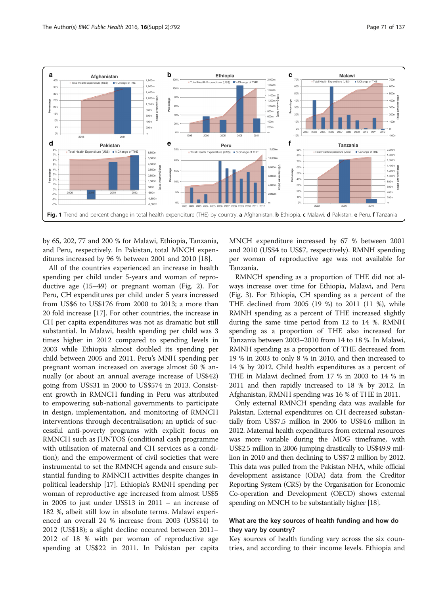<span id="page-4-0"></span>

by 65, 202, 77 and 200 % for Malawi, Ethiopia, Tanzania, and Peru, respectively. In Pakistan, total MNCH expenditures increased by 96 % between 2001 and 2010 [\[18\]](#page-13-0).

All of the countries experienced an increase in health spending per child under 5-years and woman of reproductive age (15–49) or pregnant woman (Fig. [2](#page-5-0)). For Peru, CH expenditures per child under 5 years increased from US\$6 to US\$176 from 2000 to 2013; a more than 20 fold increase [[17](#page-13-0)]. For other countries, the increase in CH per capita expenditures was not as dramatic but still substantial. In Malawi, health spending per child was 3 times higher in 2012 compared to spending levels in 2003 while Ethiopia almost doubled its spending per child between 2005 and 2011. Peru's MNH spending per pregnant woman increased on average almost 50 % annually (or about an annual average increase of US\$42) going from US\$31 in 2000 to US\$574 in 2013. Consistent growth in RMNCH funding in Peru was attributed to empowering sub-national governments to participate in design, implementation, and monitoring of RMNCH interventions through decentralisation; an uptick of successful anti-poverty programs with explicit focus on RMNCH such as JUNTOS (conditional cash programme with utilisation of maternal and CH services as a condition); and the empowerment of civil societies that were instrumental to set the RMNCH agenda and ensure substantial funding to RMNCH activities despite changes in political leadership [\[17](#page-13-0)]. Ethiopia's RMNH spending per woman of reproductive age increased from almost US\$5 in 2005 to just under US\$13 in 2011 – an increase of 182 %, albeit still low in absolute terms. Malawi experienced an overall 24 % increase from 2003 (US\$14) to 2012 (US\$18); a slight decline occurred between 2011– 2012 of 18 % with per woman of reproductive age spending at US\$22 in 2011. In Pakistan per capita MNCH expenditure increased by 67 % between 2001 and 2010 (US\$4 to US\$7, respectively). RMNH spending per woman of reproductive age was not available for Tanzania.

RMNCH spending as a proportion of THE did not always increase over time for Ethiopia, Malawi, and Peru (Fig. [3](#page-6-0)). For Ethiopia, CH spending as a percent of the THE declined from 2005 (19 %) to 2011 (11 %), while RMNH spending as a percent of THE increased slightly during the same time period from 12 to 14 %. RMNH spending as a proportion of THE also increased for Tanzania between 2003–2010 from 14 to 18 %. In Malawi, RMNH spending as a proportion of THE decreased from 19 % in 2003 to only 8 % in 2010, and then increased to 14 % by 2012. Child health expenditures as a percent of THE in Malawi declined from 17 % in 2003 to 14 % in 2011 and then rapidly increased to 18 % by 2012. In Afghanistan, RMNH spending was 16 % of THE in 2011.

Only external RMNCH spending data was available for Pakistan. External expenditures on CH decreased substantially from US\$7.5 million in 2006 to US\$4.6 million in 2012. Maternal health expenditures from external resources was more variable during the MDG timeframe, with US\$2.5 million in 2006 jumping drastically to US\$49.9 million in 2010 and then declining to US\$7.2 million by 2012. This data was pulled from the Pakistan NHA, while official development assistance (ODA) data from the Creditor Reporting System (CRS) by the Organisation for Economic Co-operation and Development (OECD) shows external spending on MNCH to be substantially higher [[18](#page-13-0)].

## What are the key sources of health funding and how do they vary by country?

Key sources of health funding vary across the six countries, and according to their income levels. Ethiopia and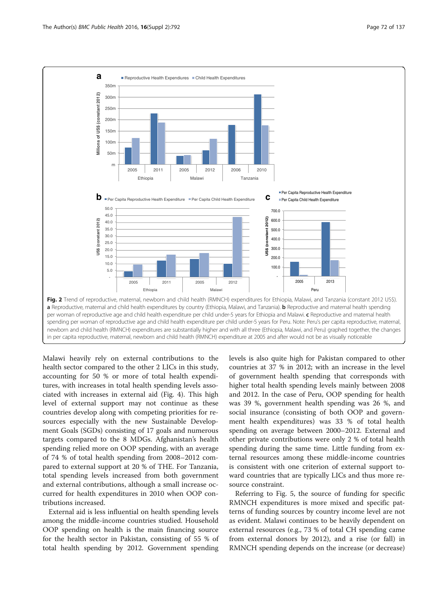<span id="page-5-0"></span>

Malawi heavily rely on external contributions to the health sector compared to the other 2 LICs in this study, accounting for 50 % or more of total health expenditures, with increases in total health spending levels associated with increases in external aid (Fig. [4\)](#page-7-0). This high level of external support may not continue as these countries develop along with competing priorities for resources especially with the new Sustainable Development Goals (SGDs) consisting of 17 goals and numerous targets compared to the 8 MDGs. Afghanistan's health spending relied more on OOP spending, with an average of 74 % of total health spending from 2008–2012 compared to external support at 20 % of THE. For Tanzania, total spending levels increased from both government and external contributions, although a small increase occurred for health expenditures in 2010 when OOP contributions increased.

External aid is less influential on health spending levels among the middle-income countries studied. Household OOP spending on health is the main financing source for the health sector in Pakistan, consisting of 55 % of total health spending by 2012. Government spending levels is also quite high for Pakistan compared to other countries at 37 % in 2012; with an increase in the level of government health spending that corresponds with higher total health spending levels mainly between 2008 and 2012. In the case of Peru, OOP spending for health was 39 %, government health spending was 26 %, and social insurance (consisting of both OOP and government health expenditures) was 33 % of total health spending on average between 2000–2012. External and other private contributions were only 2 % of total health spending during the same time. Little funding from external resources among these middle-income countries is consistent with one criterion of external support toward countries that are typically LICs and thus more resource constraint.

Referring to Fig. [5,](#page-7-0) the source of funding for specific RMNCH expenditures is more mixed and specific patterns of funding sources by country income level are not as evident. Malawi continues to be heavily dependent on external resources (e.g., 73 % of total CH spending came from external donors by 2012), and a rise (or fall) in RMNCH spending depends on the increase (or decrease)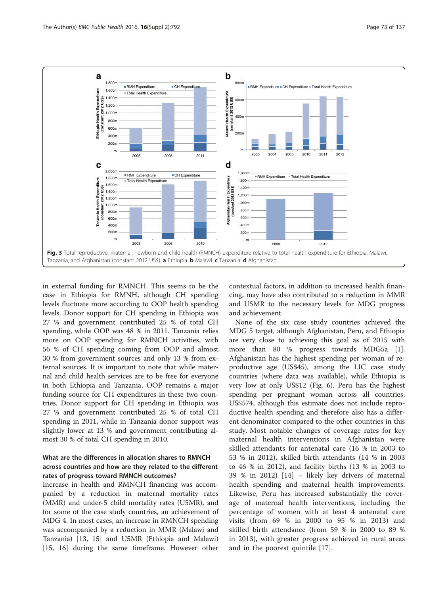<span id="page-6-0"></span>

in external funding for RMNCH. This seems to be the case in Ethiopia for RMNH, although CH spending levels fluctuate more according to OOP health spending levels. Donor support for CH spending in Ethiopia was 27 % and government contributed 25 % of total CH spending, while OOP was 48 % in 2011. Tanzania relies more on OOP spending for RMNCH activities, with 56 % of CH spending coming from OOP and almost 30 % from government sources and only 13 % from external sources. It is important to note that while maternal and child health services are to be free for everyone in both Ethiopia and Tanzania, OOP remains a major funding source for CH expenditures in these two countries. Donor support for CH spending in Ethiopia was 27 % and government contributed 25 % of total CH spending in 2011, while in Tanzania donor support was slightly lower at 13 % and government contributing almost 30 % of total CH spending in 2010.

## What are the differences in allocation shares to RMNCH across countries and how are they related to the different rates of progress toward RMNCH outcomes?

Increase in health and RMNCH financing was accompanied by a reduction in maternal mortality rates (MMR) and under-5 child mortality rates (U5MR), and for some of the case study countries, an achievement of MDG 4. In most cases, an increase in RMNCH spending was accompanied by a reduction in MMR (Malawi and Tanzania) [\[13, 15](#page-13-0)] and U5MR (Ethiopia and Malawi) [[15, 16\]](#page-13-0) during the same timeframe. However other contextual factors, in addition to increased health financing, may have also contributed to a reduction in MMR and U5MR to the necessary levels for MDG progress and achievement.

None of the six case study countries achieved the MDG 5 target, although Afghanistan, Peru, and Ethiopia are very close to achieving this goal as of 2015 with more than 80 % progress towards MDG5a [\[1](#page-12-0)]. Afghanistan has the highest spending per woman of reproductive age (US\$45), among the LIC case study countries (where data was available), while Ethiopia is very low at only US\$12 (Fig. [6](#page-8-0)). Peru has the highest spending per pregnant woman across all countries, US\$574, although this estimate does not include reproductive health spending and therefore also has a different denominator compared to the other countries in this study. Most notable changes of coverage rates for key maternal health interventions in Afghanistan were skilled attendants for antenatal care (16 % in 2003 to 53 % in 2012), skilled birth attendants (14 % in 2003 to 46 % in 2012), and facility births (13 % in 2003 to 39 % in 2012) [[14\]](#page-13-0) – likely key drivers of maternal health spending and maternal health improvements. Likewise, Peru has increased substantially the coverage of maternal health interventions, including the percentage of women with at least 4 antenatal care visits (from 69 % in 2000 to 95 % in 2013) and skilled birth attendance (from 59 % in 2000 to 89 % in 2013), with greater progress achieved in rural areas and in the poorest quintile [\[17](#page-13-0)].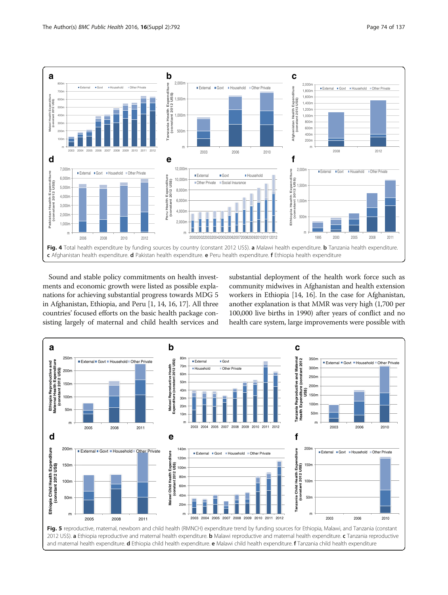<span id="page-7-0"></span>

Sound and stable policy commitments on health investments and economic growth were listed as possible explanations for achieving substantial progress towards MDG 5 in Afghanistan, Ethiopia, and Peru [[1,](#page-12-0) [14, 16](#page-13-0), [17\]](#page-13-0). All three countries' focused efforts on the basic health package consisting largely of maternal and child health services and

substantial deployment of the health work force such as community midwives in Afghanistan and health extension workers in Ethiopia [\[14, 16](#page-13-0)]. In the case for Afghanistan, another explanation is that MMR was very high (1,700 per 100,000 live births in 1990) after years of conflict and no health care system, large improvements were possible with

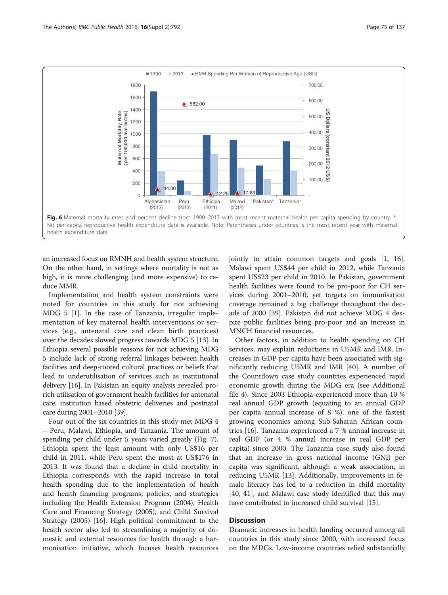<span id="page-8-0"></span>

an increased focus on RMNH and health system structure. On the other hand, in settings where mortality is not as high, it is more challenging (and more expensive) to reduce MMR.

Implementation and health system constraints were noted for countries in this study for not achieving MDG 5 [[1\]](#page-12-0). In the case of Tanzania, irregular implementation of key maternal health interventions or services (e.g., antenatal care and clean birth practices) over the decades slowed progress towards MDG 5 [\[13\]](#page-13-0). In Ethiopia several possible reasons for not achieving MDG 5 include lack of strong referral linkages between health facilities and deep-rooted cultural practices or beliefs that lead to underutilisation of services such as institutional delivery [\[16\]](#page-13-0). In Pakistan an equity analysis revealed prorich utilisation of government health facilities for antenatal care, institution based obstetric deliveries and postnatal care during 2001–2010 [\[39\]](#page-13-0).

Four out of the six countries in this study met MDG 4 – Peru, Malawi, Ethiopia, and Tanzania. The amount of spending per child under 5 years varied greatly (Fig. [7](#page-9-0)). Ethiopia spent the least amount with only US\$16 per child in 2011, while Peru spent the most at US\$176 in 2013. It was found that a decline in child mortality in Ethiopia corresponds with the rapid increase in total health spending due to the implementation of health and health financing programs, policies, and strategies including the Health Extension Program (2004), Health Care and Financing Strategy (2005), and Child Survival Strategy (2005) [\[16](#page-13-0)]. High political commitment to the health sector also led to streamlining a majority of domestic and external resources for health through a harmonisation initiative, which focuses health resources jointly to attain common targets and goals [[1,](#page-12-0) [16](#page-13-0)]. Malawi spent US\$44 per child in 2012, while Tanzania spent US\$23 per child in 2010. In Pakistan, government health facilities were found to be pro-poor for CH services during 2001–2010, yet targets on immunisation coverage remained a big challenge throughout the decade of 2000 [[39\]](#page-13-0). Pakistan did not achieve MDG 4 despite public facilities being pro-poor and an increase in MNCH financial resources.

Other factors, in addition to health spending on CH services, may explain reductions in U5MR and IMR. Increases in GDP per capita have been associated with significantly reducing U5MR and IMR [[40](#page-13-0)]. A number of the Countdown case study countries experienced rapid economic growth during the MDG era (see Additional file [4](#page-12-0)). Since 2003 Ethiopia experienced more than 10 % real annual GDP growth (equating to an annual GDP per capita annual increase of 8 %), one of the fastest growing economies among Sub-Saharan African countries [[16](#page-13-0)]. Tanzania experienced a 7 % annual increase in real GDP (or 4 % annual increase in real GDP per capita) since 2000. The Tanzania case study also found that an increase in gross national income (GNI) per capita was significant, although a weak association, in reducing U5MR [\[13](#page-13-0)]. Additionally, improvements in female literacy has led to a reduction in child mortality [[40, 41](#page-13-0)], and Malawi case study identified that this may have contributed to increased child survival [[15\]](#page-13-0).

## **Discussion**

Dramatic increases in health funding occurred among all countries in this study since 2000, with increased focus on the MDGs. Low-income countries relied substantially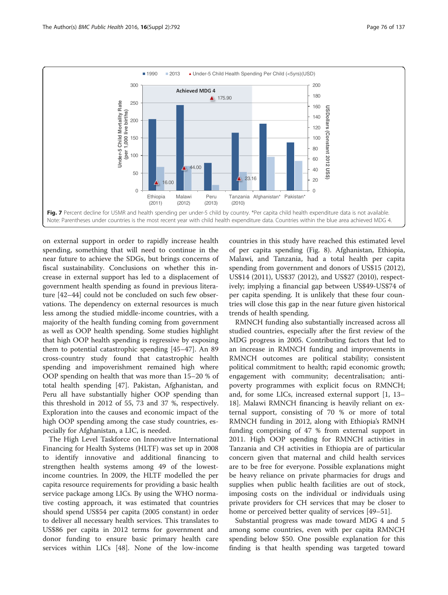<span id="page-9-0"></span>

on external support in order to rapidly increase health spending, something that will need to continue in the near future to achieve the SDGs, but brings concerns of fiscal sustainability. Conclusions on whether this increase in external support has led to a displacement of government health spending as found in previous literature [[42](#page-13-0)–[44](#page-13-0)] could not be concluded on such few observations. The dependency on external resources is much less among the studied middle-income countries, with a majority of the health funding coming from government as well as OOP health spending. Some studies highlight that high OOP health spending is regressive by exposing them to potential catastrophic spending [\[45](#page-13-0)–[47\]](#page-13-0). An 89 cross-country study found that catastrophic health spending and impoverishment remained high where OOP spending on health that was more than 15–20 % of total health spending [[47](#page-13-0)]. Pakistan, Afghanistan, and Peru all have substantially higher OOP spending than this threshold in 2012 of 55, 73 and 37 %, respectively. Exploration into the causes and economic impact of the high OOP spending among the case study countries, especially for Afghanistan, a LIC, is needed.

The High Level Taskforce on Innovative International Financing for Health Systems (HLTF) was set up in 2008 to identify innovative and additional financing to strengthen health systems among 49 of the lowestincome countries. In 2009, the HLTF modelled the per capita resource requirements for providing a basic health service package among LICs. By using the WHO normative costing approach, it was estimated that countries should spend US\$54 per capita (2005 constant) in order to deliver all necessary health services. This translates to US\$86 per capita in 2012 terms for government and donor funding to ensure basic primary health care services within LICs [[48\]](#page-13-0). None of the low-income

countries in this study have reached this estimated level of per capita spending (Fig. [8\)](#page-10-0). Afghanistan, Ethiopia, Malawi, and Tanzania, had a total health per capita spending from government and donors of US\$15 (2012), US\$14 (2011), US\$37 (2012), and US\$27 (2010), respectively; implying a financial gap between US\$49-US\$74 of per capita spending. It is unlikely that these four countries will close this gap in the near future given historical trends of health spending.

RMNCH funding also substantially increased across all studied countries, especially after the first review of the MDG progress in 2005. Contributing factors that led to an increase in RMNCH funding and improvements in RMNCH outcomes are political stability; consistent political commitment to health; rapid economic growth; engagement with community; decentralisation; antipoverty programmes with explicit focus on RMNCH; and, for some LICs, increased external support [[1,](#page-12-0) [13](#page-13-0)– [18\]](#page-13-0). Malawi RMNCH financing is heavily reliant on external support, consisting of 70 % or more of total RMNCH funding in 2012, along with Ethiopia's RMNH funding comprising of 47 % from external support in 2011. High OOP spending for RMNCH activities in Tanzania and CH activities in Ethiopia are of particular concern given that maternal and child health services are to be free for everyone. Possible explanations might be heavy reliance on private pharmacies for drugs and supplies when public health facilities are out of stock, imposing costs on the individual or individuals using private providers for CH services that may be closer to home or perceived better quality of services [\[49](#page-13-0)–[51\]](#page-14-0).

Substantial progress was made toward MDG 4 and 5 among some countries, even with per capita RMNCH spending below \$50. One possible explanation for this finding is that health spending was targeted toward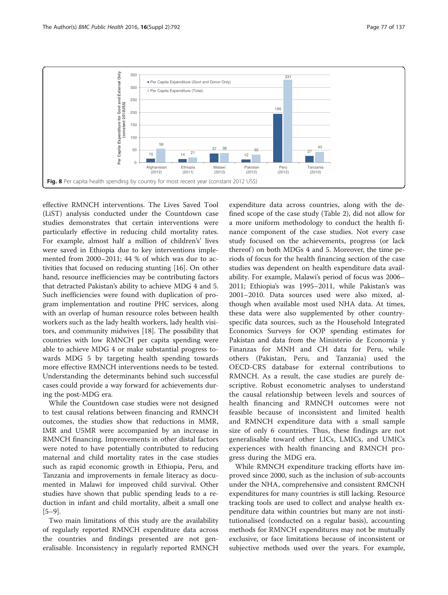<span id="page-10-0"></span>

effective RMNCH interventions. The Lives Saved Tool (LiST) analysis conducted under the Countdown case studies demonstrates that certain interventions were particularly effective in reducing child mortality rates. For example, almost half a million of children's' lives were saved in Ethiopia due to key interventions implemented from 2000–2011; 44 % of which was due to activities that focused on reducing stunting [[16\]](#page-13-0). On other hand, resource inefficiencies may be contributing factors that detracted Pakistan's ability to achieve MDG 4 and 5. Such inefficiencies were found with duplication of program implementation and routine PHC services, along with an overlap of human resource roles between health workers such as the lady health workers, lady health visitors, and community midwives [[18\]](#page-13-0). The possibility that countries with low RMNCH per capita spending were able to achieve MDG 4 or make substantial progress towards MDG 5 by targeting health spending towards more effective RMNCH interventions needs to be tested. Understanding the determinants behind such successful cases could provide a way forward for achievements during the post-MDG era.

While the Countdown case studies were not designed to test causal relations between financing and RMNCH outcomes, the studies show that reductions in MMR, IMR and U5MR were accompanied by an increase in RMNCH financing. Improvements in other distal factors were noted to have potentially contributed to reducing maternal and child mortality rates in the case studies such as rapid economic growth in Ethiopia, Peru, and Tanzania and improvements in female literacy as documented in Malawi for improved child survival. Other studies have shown that public spending leads to a reduction in infant and child mortality, albeit a small one  $[5-9]$  $[5-9]$  $[5-9]$  $[5-9]$ .

Two main limitations of this study are the availability of regularly reported RMNCH expenditure data across the countries and findings presented are not generalisable. Inconsistency in regularly reported RMNCH

expenditure data across countries, along with the defined scope of the case study (Table [2\)](#page-2-0), did not allow for a more uniform methodology to conduct the health finance component of the case studies. Not every case study focused on the achievements, progress (or lack thereof) on both MDGs 4 and 5. Moreover, the time periods of focus for the health financing section of the case studies was dependent on health expenditure data availability. For example, Malawi's period of focus was 2006– 2011; Ethiopia's was 1995–2011, while Pakistan's was 2001–2010. Data sources used were also mixed, although when available most used NHA data. At times, these data were also supplemented by other countryspecific data sources, such as the Household Integrated Economics Surveys for OOP spending estimates for Pakistan and data from the Ministerio de Economía y Finanzas for MNH and CH data for Peru, while others (Pakistan, Peru, and Tanzania) used the OECD-CRS database for external contributions to RMNCH. As a result, the case studies are purely descriptive. Robust econometric analyses to understand the causal relationship between levels and sources of health financing and RMNCH outcomes were not feasible because of inconsistent and limited health and RMNCH expenditure data with a small sample size of only 6 countries. Thus, these findings are not generalisable toward other LICs, LMICs, and UMICs experiences with health financing and RMNCH progress during the MDG era.

While RMNCH expenditure tracking efforts have improved since 2000, such as the inclusion of sub-accounts under the NHA, comprehensive and consistent RMCNH expenditures for many countries is still lacking. Resource tracking tools are used to collect and analyse health expenditure data within countries but many are not institutionalised (conducted on a regular basis), accounting methods for RMNCH expenditures may not be mutually exclusive, or face limitations because of inconsistent or subjective methods used over the years. For example,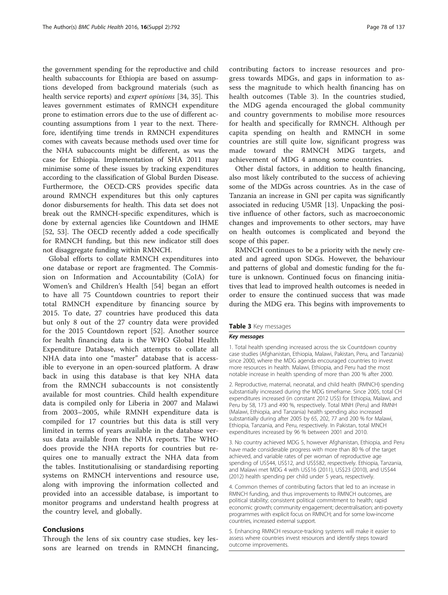the government spending for the reproductive and child health subaccounts for Ethiopia are based on assumptions developed from background materials (such as health service reports) and *expert opinions* [[34, 35\]](#page-13-0). This leaves government estimates of RMNCH expenditure prone to estimation errors due to the use of different accounting assumptions from 1 year to the next. Therefore, identifying time trends in RMNCH expenditures comes with caveats because methods used over time for the NHA subaccounts might be different, as was the case for Ethiopia. Implementation of SHA 2011 may minimise some of these issues by tracking expenditures according to the classification of Global Burden Disease. Furthermore, the OECD-CRS provides specific data around RMNCH expenditures but this only captures donor disbursements for health. This data set does not break out the RMNCH-specific expenditures, which is done by external agencies like Countdown and IHME [[52, 53](#page-14-0)]. The OECD recently added a code specifically for RMNCH funding, but this new indicator still does not disaggregate funding within RMNCH.

Global efforts to collate RMNCH expenditures into one database or report are fragmented. The Commission on Information and Accountability (CoIA) for Women's and Children's Health [[54\]](#page-14-0) began an effort to have all 75 Countdown countries to report their total RMNCH expenditure by financing source by 2015. To date, 27 countries have produced this data but only 8 out of the 27 country data were provided for the 2015 Countdown report [[52\]](#page-14-0). Another source for health financing data is the WHO Global Health Expenditure Database, which attempts to collate all NHA data into one "master" database that is accessible to everyone in an open-sourced platform. A draw back in using this database is that key NHA data from the RMNCH subaccounts is not consistently available for most countries. Child health expenditure data is compiled only for Liberia in 2007 and Malawi from 2003–2005, while RMNH expenditure data is compiled for 17 countries but this data is still very limited in terms of years available in the database versus data available from the NHA reports. The WHO does provide the NHA reports for countries but requires one to manually extract the NHA data from the tables. Institutionalising or standardising reporting systems on RMNCH interventions and resource use, along with improving the information collected and provided into an accessible database, is important to monitor programs and understand health progress at the country level, and globally.

#### Conclusions

Through the lens of six country case studies, key lessons are learned on trends in RMNCH financing,

contributing factors to increase resources and progress towards MDGs, and gaps in information to assess the magnitude to which health financing has on health outcomes (Table 3). In the countries studied, the MDG agenda encouraged the global community and country governments to mobilise more resources for health and specifically for RMNCH. Although per capita spending on health and RMNCH in some countries are still quite low, significant progress was made toward the RMNCH MDG targets, and achievement of MDG 4 among some countries.

Other distal factors, in addition to health financing, also most likely contributed to the success of achieving some of the MDGs across countries. As in the case of Tanzania an increase in GNI per capita was significantly associated in reducing U5MR [[13\]](#page-13-0). Unpacking the positive influence of other factors, such as macroeconomic changes and improvements to other sectors, may have on health outcomes is complicated and beyond the scope of this paper.

RMNCH continues to be a priority with the newly created and agreed upon SDGs. However, the behaviour and patterns of global and domestic funding for the future is unknown. Continued focus on financing initiatives that lead to improved health outcomes is needed in order to ensure the continued success that was made during the MDG era. This begins with improvements to

#### Table 3 Key messages

#### Key messages

1. Total health spending increased across the six Countdown country case studies (Afghanistan, Ethiopia, Malawi, Pakistan, Peru, and Tanzania) since 2000, where the MDG agenda encouraged countries to invest more resources in health. Malawi, Ethiopia, and Peru had the most notable increase in health spending of more than 200 % after 2000.

2. Reproductive, maternal, neonatal, and child health (RMNCH) spending substantially increased during the MDG timeframe. Since 2005, total CH expenditures increased (in constant 2012 US\$) for Ethiopia, Malawi, and Peru by 58, 173 and 490 %, respectively. Total MNH (Peru) and RMNH (Malawi, Ethiopia, and Tanzania) health spending also increased substantially during after 2005 by 65, 202, 77 and 200 % for Malawi, Ethiopia, Tanzania, and Peru, respectively. In Pakistan, total MNCH expenditures increased by 96 % between 2001 and 2010.

3. No country achieved MDG 5, however Afghanistan, Ethiopia, and Peru have made considerable progress with more than 80 % of the target achieved, and variable rates of per woman of reproductive age spending of US\$44, US\$12, and US\$582, respectively. Ethiopia, Tanzania, and Malawi met MDG 4 with US\$16 (2011), US\$23 (2010), and US\$44 (2012) health spending per child under 5 years, respectively.

4. Common themes of contributing factors that led to an increase in RMNCH funding, and thus improvements to RMNCH outcomes, are political stability; consistent political commitment to health; rapid economic growth; community engagement; decentralisation; anti-poverty programmes with explicit focus on RMNCH; and for some low-income countries, increased external support.

5. Enhancing RMNCH resource-tracking systems will make it easier to assess where countries invest resources and identify steps toward outcome improvements.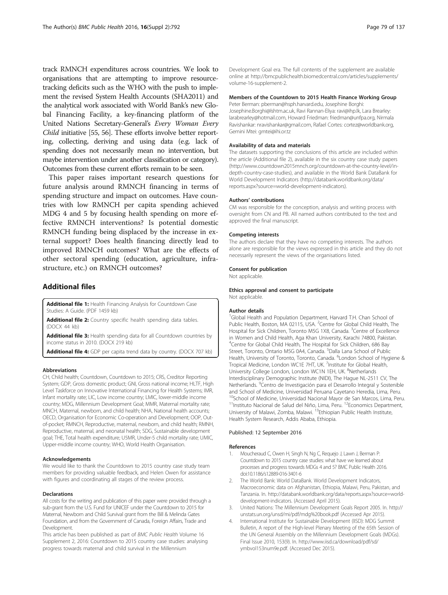<span id="page-12-0"></span>track RMNCH expenditures across countries. We look to organisations that are attempting to improve resourcetracking deficits such as the WHO with the push to implement the revised System Health Accounts (SHA2011) and the analytical work associated with World Bank's new Global Financing Facility, a key-financing platform of the United Nations Secretary-General's Every Woman Every Child initiative [[55](#page-14-0), [56\]](#page-14-0). These efforts involve better reporting, collecting, deriving and using data (e.g. lack of spending does not necessarily mean no intervention, but maybe intervention under another classification or category). Outcomes from these current efforts remain to be seen.

This paper raises important research questions for future analysis around RMNCH financing in terms of spending structure and impact on outcomes. Have countries with low RMNCH per capita spending achieved MDG 4 and 5 by focusing health spending on more effective RMNCH interventions? Is potential domestic RMNCH funding being displaced by the increase in external support? Does health financing directly lead to improved RMNCH outcomes? What are the effects of other sectoral spending (education, agriculture, infrastructure, etc.) on RMNCH outcomes?

## Additional files

[Additional file 1:](dx.doi.org/10.1186/s12889-016-3403-4) Health Financing Analysis for Countdown Case Studies: A Guide. (PDF 1459 kb)

[Additional file 2:](dx.doi.org/10.1186/s12889-016-3403-4) Country specific health spending data tables. (DOCX 44 kb)

[Additional file 3:](dx.doi.org/10.1186/s12889-016-3403-4) Health spending data for all Countdown countries by income status in 2010. (DOCX 219 kb)

[Additional file 4:](dx.doi.org/10.1186/s12889-016-3403-4) GDP per capita trend data by country. (DOCX 707 kb)

#### Abbreviations

CH, Child health; Countdown, Countdown to 2015; CRS, Creditor Reporting System; GDP, Gross domestic product; GNI, Gross national income; HLTF, High Level Taskforce on Innovative International Financing for Health Systems; IMR, Infant mortality rate; LIC, Low income country; LMIC, lower-middle income country; MDG, Millennium Development Goal; MMR, Maternal mortality rate; MNCH, Maternal, newborn, and child health; NHA, National health accounts; OECD, Organisation for Economic Co-operation and Development; OOP, Outof-pocket; RMNCH, Reproductive, maternal, newborn, and child health; RMNH, Reproductive, maternal, and neonatal health; SDG, Sustainable development goal; THE, Total health expenditure; U5MR, Under-5 child mortality rate; UMIC, Upper-middle income country; WHO, World Health Organisation.

#### Acknowledgements

We would like to thank the Countdown to 2015 country case study team members for providing valuable feedback, and Helen Owen for assistance with figures and coordinating all stages of the review process.

#### **Declarations**

All costs for the writing and publication of this paper were provided through a sub-grant from the U.S. Fund for UNICEF under the Countdown to 2015 for Maternal, Newborn and Child Survival grant from the Bill & Melinda Gates Foundation, and from the Government of Canada, Foreign Affairs, Trade and Development.

This article has been published as part of BMC Public Health Volume 16 Supplement 2, 2016: Countdown to 2015 country case studies: analysing progress towards maternal and child survival in the Millennium

Development Goal era. The full contents of the supplement are available online at [http://bmcpublichealth.biomedcentral.com/articles/supplements/](http://bmcpublichealth.biomedcentral.com/articles/supplements/volume-16-supplement-2) [volume-16-supplement-2.](http://bmcpublichealth.biomedcentral.com/articles/supplements/volume-16-supplement-2)

## Members of the Countdown to 2015 Health Finance Working Group

Peter Berman: pberman@hsph.harvard.edu, Josephine Borghi: Josephine.Borghi@lshtm.ac.uk, Ravi Rannan-Eliya: ravi@ihp.lk, Lara Brearley: larabrearley@hotmail.com, Howard Friedman: friedman@unfpa.org, Nirmala Ravishankar: nravishankar@gmail.com, Rafael Cortes: cortez@worldbank.org, Gemini Mtei: gmtei@ihi.or.tz

#### Availability of data and materials

The datasets supporting the conclusions of this article are included within the article (Additional file 2), available in the six country case study papers ([http://www.countdown2015mnch.org/countdown-at-the-country-level/in](http://www.countdown2015mnch.org/countdown-at-the-country-level/in-depth-country-case-studies)[depth-country-case-studies\),](http://www.countdown2015mnch.org/countdown-at-the-country-level/in-depth-country-case-studies) and available in the World Bank DataBank for World Development Indicators [\(http://databank.worldbank.org/data/](http://databank.worldbank.org/data/reports.aspx?source=world-development-indicators) [reports.aspx?source=world-development-indicators](http://databank.worldbank.org/data/reports.aspx?source=world-development-indicators)).

#### Authors' contributions

CM was responsible for the conception, analysis and writing process with oversight from CN and PB. All named authors contributed to the text and approved the final manuscript.

#### Competing interests

The authors declare that they have no competing interests. The authors alone are responsible for the views expressed in this article and they do not necessarily represent the views of the organisations listed.

#### Consent for publication

Not applicable.

#### Ethics approval and consent to participate

Not applicable.

#### Author details

<sup>1</sup>Global Health and Population Department, Harvard T.H. Chan School of Public Health, Boston, MA 02115, USA. <sup>2</sup>Centre for Global Child Health, The Hospital for Sick Children, Toronto M5G 1X8, Canada. <sup>3</sup>Centre of Excellence in Women and Child Health, Aga Khan University, Karachi 74800, Pakistan. 4 Centre for Global Child Health, The Hospital for Sick Children, 686 Bay Street, Toronto, Ontario M5G 0A4, Canada. <sup>5</sup>Dalla Lana School of Public Health, University of Toronto, Toronto, Canada. <sup>6</sup> London School of Hygiene & Tropical Medicine, London WC1E 7HT, UK. <sup>7</sup>Institute for Global Health, University College London, London WC1N 1EH, UK. <sup>8</sup>Netherlands Interdisciplinary Demographic Institute (NIDI), The Hague NL-2511 CV, The Netherlands. <sup>9</sup> Centro de Investigación para el Desarrollo Integral y Sostenible and School of Medicine, Universidad Peruana Cayetano Heredia, Lima, Peru. <sup>10</sup>School of Medicine, Universidad Nacional Mayor de San Marcos, Lima, Peru. <sup>11</sup>Instituto Nacional de Salud del Niño, Lima, Peru. <sup>12</sup>Economics Department, University of Malawi, Zomba, Malawi. 13Ethiopian Public Health Institute, Health System Research, Addis Ababa, Ethiopia.

#### Published: 12 September 2016

#### References

- Moucheraud C, Owen H, Singh N, Ng C, Requejo J, Lawn J, Berman P: Countdown to 2015 country case studies: what have we learned about processes and progress towards MDGs 4 and 5? BMC Public Health 2016. doi[:10.1186/s12889-016-3401-6](http://dx.doi.org/10.1186/s12889-016-3401-6)
- 2. The World Bank: World DataBank. World Development Indicators, Macroeconomic data on Afghanistan, Ethiopia, Malawi, Peru, Pakistan, and Tanzania. In. http://databank.worldbank.org/data/reports.aspx?source=worlddevelopment-indicators. (Accessed April 2015).
- 3. United Nations: The Millennium Development Goals Report 2005. In. [http://](http://unstats.un.org/unsd/mi/pdf/mdg%20book.pdf) [unstats.un.org/unsd/mi/pdf/mdg%20book.pdf](http://unstats.un.org/unsd/mi/pdf/mdg%20book.pdf) (Accessed Apr 2015).
- 4. International Institute for Sustainable Development (IISD): MDG Summit Bulletin, A report of the High-level Plenary Meeting of the 65th Session of the UN General Assembly on the Millennium Development Goals (MDGs). Final Issue 2010, 153(9). In. [http://www.iisd.ca/download/pdf/sd/](http://www.iisd.ca/download/pdf/sd/ymbvol153num9e.pdf) [ymbvol153num9e.pdf](http://www.iisd.ca/download/pdf/sd/ymbvol153num9e.pdf). (Accessed Dec 2015).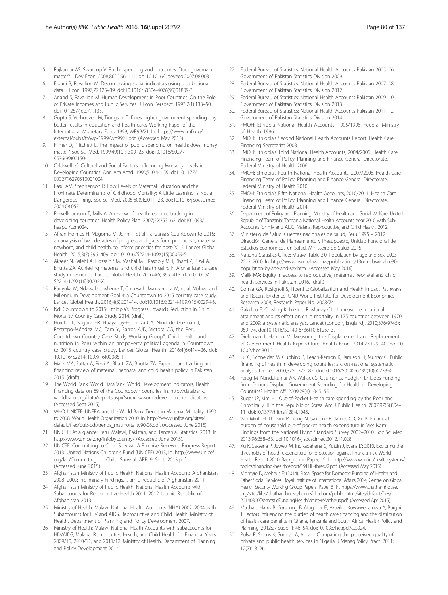- <span id="page-13-0"></span>5. Rajkumar AS, Swaroop V. Public spending and outcomes: Does governance matter? J Dev Econ. 2008;86(1):96–111. doi:[10.1016/j.jdeveco.2007.08.003.](http://dx.doi.org/10.1016/j.jdeveco.2007.08.003)
- 6. Bidani B, Ravallion M. Decomposing social indicators using distributional data. J Econ. 1997;77:125–39. doi[:10.1016/S0304-4076\(95\)01809-3](http://dx.doi.org/10.1016/S0304-4076(95)01809-3).
- 7. Anand S, Ravallion M. Human Development in Poor Countries: On the Role of Private Incomes and Public Services. J Econ Perspect. 1993;7(1):133–50. doi[:10.1257/jep.7.1.133](http://dx.doi.org/10.1257/jep.7.1.133).
- 8. Gupta S, Verhoeven M, Tiongson T: Does higher government spending buy better results in education and health care? Working Paper of the International Monetary Fund 1999, WP99/21. In. [https://www.imf.org/](https://www.imf.org/external/pubs/ft/wp/1999/wp9921.pdf) [external/pubs/ft/wp/1999/wp9921.pdf.](https://www.imf.org/external/pubs/ft/wp/1999/wp9921.pdf) (Accessed May 2015).
- 9. Filmer D, Pritchett L. The impact of public spending on health: does money matter? Soc Sci Med. 1999;49(10):1309–23. doi:[10.1016/S0277-](http://dx.doi.org/10.1016/S0277-9536(99)00150-1) [9536\(99\)00150-1](http://dx.doi.org/10.1016/S0277-9536(99)00150-1).
- 10. Caldwell JC. Cultural and Social Factors Influencing Mortality Levels in Developing Countries. Ann Am Acad. 1990;510:44–59. doi:[10.1177/](http://dx.doi.org/10.1177/0002716290510001004) [0002716290510001004.](http://dx.doi.org/10.1177/0002716290510001004)
- 11. Basu AM, Stephenson R. Low Levels of Maternal Education and the Proximate Determinants of Childhood Mortality: A Little Learning Is Not a Dangerous Thing. Soc Sci Med. 2005;60(9):2011–23. doi[:10.1016/j.socscimed.](http://dx.doi.org/10.1016/j.socscimed.2004.08.057) [2004.08.057.](http://dx.doi.org/10.1016/j.socscimed.2004.08.057)
- 12. Powell-Jackson T, Mills A. A review of health resource tracking in developing countries. Health Policy Plan. 2007;22:353–62. doi[:10.1093/](http://dx.doi.org/10.1093/heapol/czm024) [heapol/czm024.](http://dx.doi.org/10.1093/heapol/czm024)
- 13. Afnan-Holmes H, Magoma M, John T, et al. Tanzania's Countdown to 2015: an analysis of two decades of progress and gaps for reproductive, maternal, newborn, and child health, to inform priorities for post-2015. Lancet Global Health. 2015;3(7):396–409. doi:[10.1016/S2214-109X\(15\)00059-5.](http://dx.doi.org/10.1016/S2214-109X(15)00059-5)
- 14. Akseer N, Salehi A, Hossain SM, Mashal MT, Rasooly MH, Bhatti Z, Rizvi A, Bhutta ZA. Achieving maternal and child health gains in Afghanistan: a case study in resilience. Lancet Global Health. 2016;4(6):395–413. doi:[10.1016/](http://dx.doi.org/10.1016/S2214-109X(16)30002-X) [S2214-109X\(16\)30002-X](http://dx.doi.org/10.1016/S2214-109X(16)30002-X).
- 15. Kanyuka M, Ndawala J, Mleme T, Chisesa L, Makwemba M, et al. Malawi and Millennium Development Goal 4: a Countdown to 2015 country case study. Lancet Global Health. 2016;4(3):201–14. doi:[10.1016/S2214-109X\(15\)00294-6.](http://dx.doi.org/10.1016/S2214-109X(15)00294-6)
- 16. Nd: Countdown to 2015: Ethiopia's Progress Towards Reduction in Child Mortality, Country Case Study 2014. (draft)
- 17. Huicho L, Segura ER, Huayanay-Espinoza CA, Niño de Guzman J, Restrepo-Méndez MC, Tam Y, Barros AJD, Victora CG, the Peru Countdown Country Case Study Working Group\*. Child health and nutrition in Peru within an antipoverty political agenda: a Countdown to 2015 country case study. Lancet Global Health. 2016;4(6):414–26. doi: [10.1016/S2214-109X\(16\)00085-1.](http://dx.doi.org/10.1016/S2214-109X(16)00085-1)
- 18. Malik MA, Sattar A, Rizvi A, Bhatti ZA, Bhutta ZA: Expenditure tracking and financing review of maternal, neonatal and child health policy in Pakistan. 2015. (draft)
- 19. The World Bank: World DataBank. World Development Indicators, Health financing data on 69 of the Countdown countries. In. [http://databank.](http://databank.worldbank.org/data/reports.aspx?source=world-development-indicators) [worldbank.org/data/reports.aspx?source=world-development-indicators.](http://databank.worldbank.org/data/reports.aspx?source=world-development-indicators) (Accessed Sept 2015).
- 20. WHO, UNICEF, UNFPA, and the World Bank: Trends in Maternal Mortality: 1990 to 2008. World Health Organization 2010. In. [http://www.unfpa.org/sites/](http://www.unfpa.org/sites/default/files/pub-pdf/trends_matmortality90-08.pdf) [default/files/pub-pdf/trends\\_matmortality90-08.pdf](http://www.unfpa.org/sites/default/files/pub-pdf/trends_matmortality90-08.pdf). (Accessed June 2015).
- 21. UNICEF: At a glance: Peru, Malawi, Pakistan, and Tanzania. Statistics. 2013. In. <http://www.unicef.org/infobycountry/> (Accessed June 2015).
- 22. UNICEF: Committing to Child Survival: A Promise Renewed Progress Report 2013. United Nations Children's Fund (UNICEF) 2013, In. [http://www.unicef.](http://www.unicef.org/lac/Committing_to_Child_Survival_APR_9_Sept_2013.pdf) [org/lac/Committing\\_to\\_Child\\_Survival\\_APR\\_9\\_Sept\\_2013.pdf](http://www.unicef.org/lac/Committing_to_Child_Survival_APR_9_Sept_2013.pdf). (Accessed June 2015).
- 23. Afghanistan Ministry of Public Health: National Health Accounts Afghanistan 2008–2009: Preliminary Findings. Islamic Republic of Afghanistan 2011.
- 24. Afghanistan Ministry of Public Health: National Health Accounts with Subaccounts for Reproductive Health 2011–2012. Islamic Republic of Afghanistan 2013.
- 25. Ministry of Health: Malawi National Health Accounts (NHA) 2002–2004 with Subaccounts for HIV and AIDS, Reproductive and Child Health. Ministry of Health, Department of Planning and Policy Development 2007.
- 26. Ministry of Health: Malawi National Heath Accounts with subaccounts for HIV/AIDS, Malaria, Reproductive Health, and Child Health for Financial Years 2009/10, 2010/11, and 2011/12. Ministry of Health, Department of Planning and Policy Development 2014.
- 27. Federal Bureau of Statistics: National Health Accounts Pakistan 2005–06. Government of Pakistan Statistics Division 2009.
- 28. Federal Bureau of Statistics: National Health Accounts Pakistan 2007–08. Government of Pakistan Statistics Division 2012.
- 29. Federal Bureau of Statistics: National Health Accounts Pakistan 2009–10. Government of Pakistan Statistics Division 2013.
- 30. Federal Bureau of Statistics: National Health Accounts Pakistan 2011–12. Government of Pakistan Statistics Division 2014.
- 31. FMOH: Ethiopia National Health Accounts, 1995/1996. Federal Ministry of Health 1996.
- 32. FMOH: Ethiopia's Second National Health Accounts Report. Health Care Financing Secretariat 2003.
- 33. FMOH: Ethiopia's Third National Health Accounts, 2004/2005. Health Care Financing Team of Policy, Planning and Finance General Directorate, Federal Ministry of Health 2006.
- 34. FMOH: Ethiopia's Fourth National Health Accounts, 2007/2008. Health Care Financing Team of Policy, Planning and Finance General Directorate, Federal Ministry of Health 2010.
- 35. FMOH: Ethiopia's Fifth National Health Accounts, 2010/2011. Health Care Financing Team of Policy, Planning and Finance General Directorate, Federal Ministry of Health 2014.
- 36. Department of Policy and Planning, Ministry of Health and Social Welfare, United Republic of Tanzania: Tanzania National Health Accounts Year 2010 with Sub-Accounts for HIV and AIDS, Malaria, Reproductive, and Child Health. 2012.
- 37. Ministerio de Salud: Cuentas nacionales de salud, Perú 1995 2012. Dirección General de Planeamiento y Presupuesto, Unidad Funcional de Estudios Económicos en Salud, Ministerio de Salud 2015.
- 38. National Statistics Office: Malawi Table 3.0: Population by age and sex. 2003– 2012. 2010. In. [http://www.nsomalawi.mw/publications/136-malawi-table30](http://www.nsomalawi.mw/publications/136-malawi-table30-population-by-age-and-sex.html) [population-by-age-and-sex.html](http://www.nsomalawi.mw/publications/136-malawi-table30-population-by-age-and-sex.html). (Accessed May 2016).
- 39. Malik MA: Equity in access to reproductive, maternal, neonatal and child health services in Pakistan. 2016. (draft)
- 40. Cornia GA, Rosignoli S, Tiberti L: Globalization and Health Impact Pathways and Recent Evidence. UNU World Institute for Development Economics Research 2008, Research Paper No. 2008/74
- 41. Gakidou E, Cowling K, Lozano R, Murray CJL. Increased educational attainment and its effect on child mortality in 175 countries between 1970 and 2009: a systematic analysis. Lancet (London, England). 2010;376(9745): 959–74. doi:[10.1016/S0140-6736\(10\)61257-3.](http://dx.doi.org/10.1016/S0140-6736(10)61257-3)
- 42. Dieleman J, Hanlon M. Measuring the Displacement and Replacement of Government Health Expenditure. Health Econ. 2014;23:129–40. doi:[10.](http://dx.doi.org/10.1002/hec.3016) [1002/hec.3016](http://dx.doi.org/10.1002/hec.3016).
- 43. Lu C, Schneider M, Gubbins P, Leach-Kemon K, Jamison D, Murray C. Public financing of health in developing countries: a cross-national systematic analysis. Lancet. 2010;375:1375–87. doi:[10.1016/S0140-6736\(10\)60233-4](http://dx.doi.org/10.1016/S0140-6736(10)60233-4).
- 44. Farag M, Nandakumar AK, Wallack S, Gaumer G, Hodgkin D. Does Funding from Donors Displace Government Spending for Health in Developing Countries? Health Aff. 2009;28(4):1045–55.
- 45. Ruger JP, Kim HJ. Out-of-Pocket Health care spending by the Poor and Chronically Ill in the Republic of Korea. Am J Public Health. 2007;97(5):804– 11. doi[:10.1377/hlthaff.28.4.1045.](http://dx.doi.org/10.1377/hlthaff.28.4.1045)
- 46. Van Minh H, Thi Kim Phuong N, Saksena P, James CD, Xu K. Financial burden of household out-of pocket health expenditure in Viet Nam: Findings from the National Living Standard Survey 2002–2010. Soc Sci Med. 2013;96:258–63. doi:[10.1016/j.socscimed.2012.11.028.](http://dx.doi.org/10.1016/j.socscimed.2012.11.028)
- 47. Xu K, Saksena P, Jowett M, Indikadahena C, Kutzin J, Evans D: 2010. Exploring the thresholds of health expenditure for protection against financial risk. World Health Report 2010, Background Paper, 19. In. [http://www.who.int/healthsystems/](http://www.who.int/healthsystems/topics/financing/healthreport/19THE-thresv2.pdf) [topics/financing/healthreport/19THE-thresv2.pdf.](http://www.who.int/healthsystems/topics/financing/healthreport/19THE-thresv2.pdf) (Accessed May 2015).
- 48. Mcintyre D, Meheus F: (2014). Fiscal Space for Domestic Funding of Health and Other Social Services. Royal Institute of International Affairs 2014, Centre on Global Health Security Working Group Papers, Paper 5. In. [https://www.chathamhouse.](https://www.chathamhouse.org/sites/files/chathamhouse/home/chatham/public_html/sites/default/files/20140300DomesticFundingHealthMcIntyreMeheus.pdf) [org/sites/files/chathamhouse/home/chatham/public\\_html/sites/default/files/](https://www.chathamhouse.org/sites/files/chathamhouse/home/chatham/public_html/sites/default/files/20140300DomesticFundingHealthMcIntyreMeheus.pdf) [20140300DomesticFundingHealthMcIntyreMeheus.pdf.](https://www.chathamhouse.org/sites/files/chathamhouse/home/chatham/public_html/sites/default/files/20140300DomesticFundingHealthMcIntyreMeheus.pdf) (Accessed Apr 2015).
- 49. Macha J, Harris B, Garshong B, Ataguba JE, Akazili J, Kuwawenaruwa A, Borghi J. Factors influencing the burden of health care financing and the distribution of health care benefits in Ghana, Tanzania and South Africa. Health Policy and Planning. 2012;27 suppl 1:i46–54. doi[:10.1093/heapol/czs024](http://dx.doi.org/10.1093/heapol/czs024).
- 50. Polsa P, Spens K, Soneye A, Antai I. Comparing the perceived quality of private and public health services in Nigeria. J ManagPolicy Pract. 2011; 12(7):18–26.